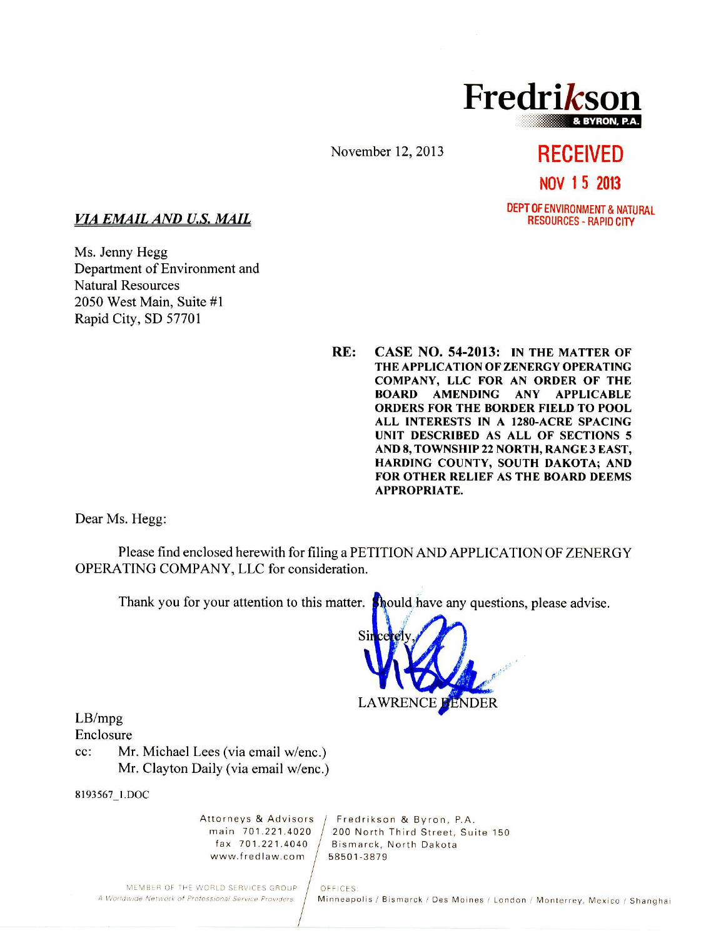

November 12, 2013

# **RECEIVED NOV 1 5 2013**  DEPT OF ENVIRONMENT & NATURAL

RESOURCES - RAPID CITY

### *VIA EMAIL AND U.S. MAIL*

Ms. Jenny Hegg Department of Environment and Natural Resources 2050 West Main, Suite #1 Rapid City, SD 57701

> **RE: CASE NO. 54-2013: IN THE MATTER OF THE APPLICATION OF ZENERGY OPERATING COMPANY, LLC FOR AN ORDER OF THE BOARD AMENDING ANY APPLICABLE ORDERS FOR THE BORDER FIELD TO POOL ALL INTERESTS IN A 1280-ACRE SPACING UNIT DESCRIBED AS ALL OF SECTIONS 5 AND 8, TOWNSHIP 22 NORTH, RANGE 3 EAST, HARDING COUNTY, SOUTH DAKOTA; AND FOR OTHER RELIEF AS THE BOARD DEEMS APPROPRIATE.**

Dear Ms. Hegg:

Please find enclosed herewith for filing a PETITION AND APPLICATION OF ZENERGY OPERATING COMPANY, LLC for consideration.

Thank you for your attention to this matter. **Should** have any questions, please advise.



LB/mpg

Enclosure

cc: Mr. Michael Lees (via email w/enc.) Mr. Clayton Daily (via email w/enc.)

8193567\_1.DOC

www.fredlaw.com / 58501-3879

Attorneys & Advisors | Fredrikson & Byron, P.A.<br>main 701.221.4020 | 200 North Third Street, Sui main 701.221.4020  $/$  200 North Third Street, Suite 150 fax 701.221.4040  $/$  Bismarck, North Dakota Bismarck, North Dakota

MEMBER OF THE WORLD SERVICES GROUP (OFFICES)<br>A Worldwide Network of Professional Service Providers (Minneap

Minneapolis / Bismarck / Des Moines / London / Monterrey, Mexico / Shanghai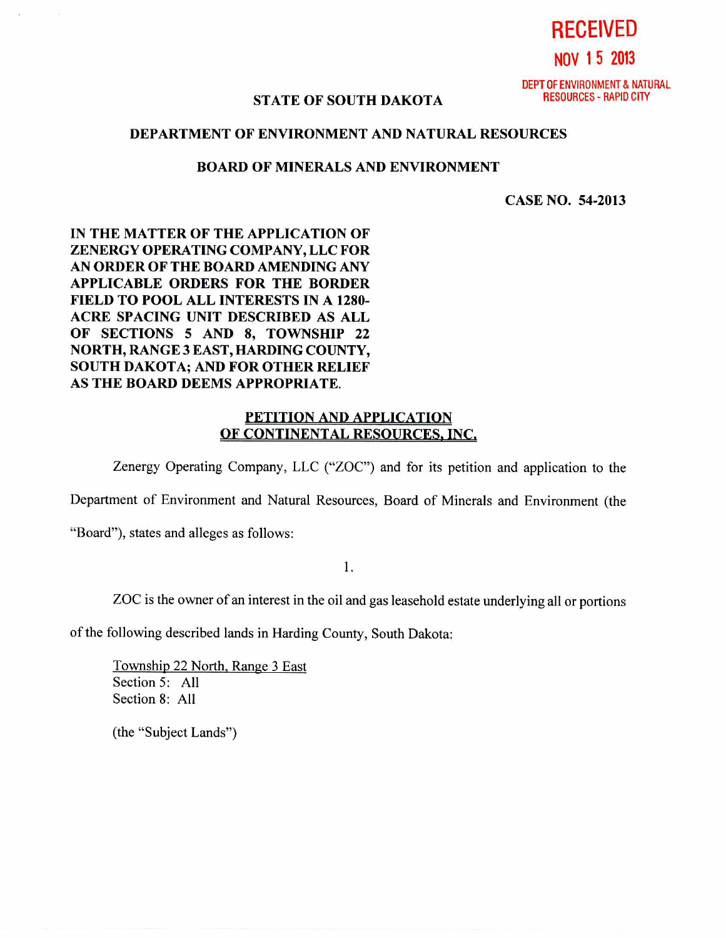**NOV 1 5 2013** 

**RECEIVED** 

DEPT OF ENVIRONMENT & NATURAL<br>RESOURCES - RAPID CITY

## **STATE OF SOUTH DAKOTA**

#### **DEPARTMENT OF ENVIRONMENT AND NATURAL RESOURCES**

#### **BOARD OF MINERALS AND ENVIRONMENT**

**CASE NO. 54-2013** 

**IN THE MATTER OF THE APPLICATION OF ZENERGY OPERATING COMPANY, LLC FOR AN ORDER OF THE BOARD AMENDING ANY APPLICABLE ORDERS FOR THE BORDER FIELD TO POOL ALL INTERESTS IN A 1280- ACRE SPACING UNIT DESCRIBED AS ALL OF SECTIONS 5 AND 8, TOWNSHIP 22 NORTH, RANGE 3 EAST, HARDING COUNTY, SOUTH DAKOTA; AND FOR OTHER RELIEF AS THE BOARD DEEMS APPROPRIATE.** 

### **PETITION AND APPLICATION OF CONTINENTAL RESOURCES, INC.**

Zenergy Operating Company, LLC ("ZOC") and for its petition and application to the

Department of Environment and Natural Resources, Board of Minerals and Environment (the

"Board"), states and alleges as follows:

**1.** 

ZOC is the owner of an interest in the oil and gas leasehold estate underlying all or portions

of the following described lands in Harding County, South Dakota:

Township 22 North, Range 3 East Section 5: All Section 8: All

(the "Subject Lands")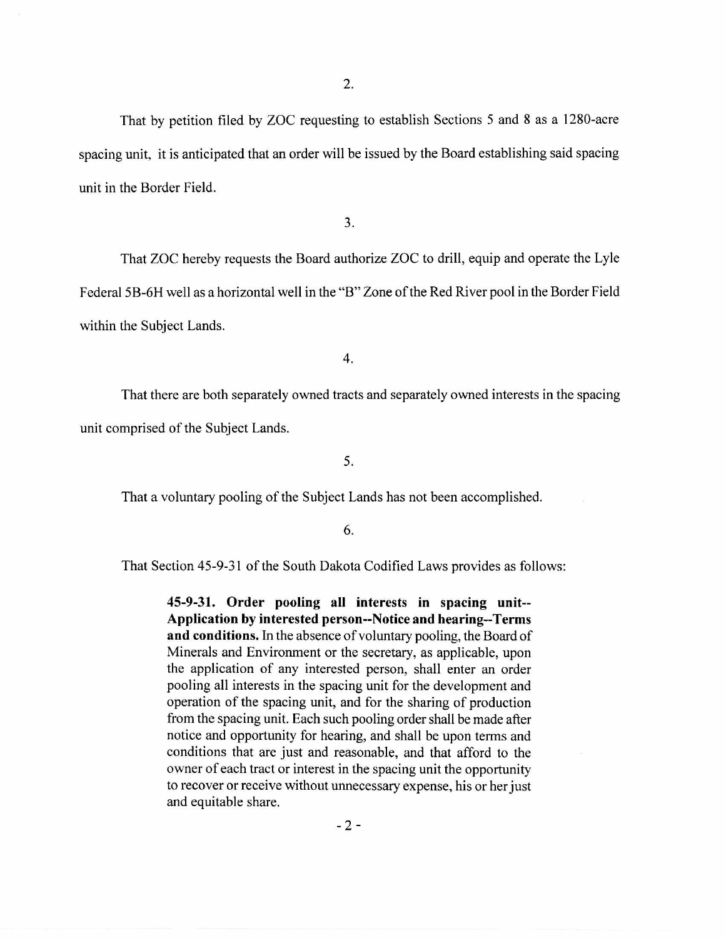That by petition filed by ZOC requesting to establish Sections 5 and 8 as a 1280-acre spacing unit, it is anticipated that an order will be issued by the Board establishing said spacing unit in the Border Field.

3.

That ZOC hereby requests the Board authorize ZOC to drill, equip and operate the Lyle Federal 5B-6H well as a horizontal well in the "B" Zone of the Red River pool in the Border Field within the Subject Lands.

4.

That there are both separately owned tracts and separately owned interests in the spacing unit comprised of the Subject Lands.

5.

That a voluntary pooling of the Subject Lands has not been accomplished.

6.

That Section 45-9-31 of the South Dakota Codified Laws provides as follows:

**45-9-31. Order pooling all interests in spacing unit-- Application by interested person--Notice and hearing--Terms and conditions.** In the absence of voluntary pooling, the Board of Minerals and Environment or the secretary, as applicable, upon the application of any interested person, shall enter an order pooling all interests in the spacing unit for the development and operation of the spacing unit, and for the sharing of production from the spacing unit. Each such pooling order shall be made after notice and opportunity for hearing, and shall be upon terms and conditions that are just and reasonable, and that afford to the owner of each tract or interest in the spacing unit the opportunity to recover or receive without unnecessary expense, his or her just and equitable share.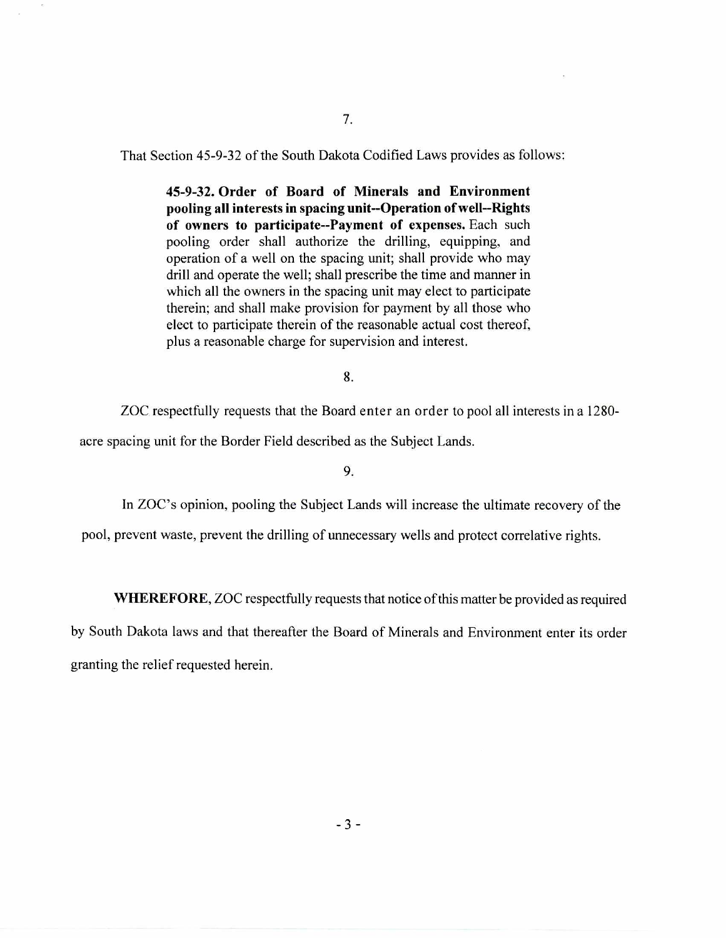That Section 45-9-32 of the South Dakota Codified Laws provides as follows:

**45-9-32. Order of Board of Minerals and Environment pooling all interests in spacing unit--Operation of well--Rights of owners to participate--Payment of expenses.** Each such pooling order shall authorize the drilling, equipping, and operation of a well on the spacing unit; shall provide who may drill and operate the well; shall prescribe the time and manner in which all the owners in the spacing unit may elect to participate therein; and shall make provision for payment by all those who elect to participate therein of the reasonable actual cost thereof, plus a reasonable charge for supervision and interest.

8.

ZOC respectfully requests that the Board enter an order to pool all interests in a 1280-

acre spacing unit for the Border Field described as the Subject Lands.

9.

In ZOC's opinion, pooling the Subject Lands will increase the ultimate recovery of the

pool, prevent waste, prevent the drilling of unnecessary wells and protect correlative rights.

**WHEREFORE,** ZOC respectfully requests that notice of this matter be provided as required

by South Dakota laws and that thereafter the Board of Minerals and Environment enter its order granting the relief requested herein.